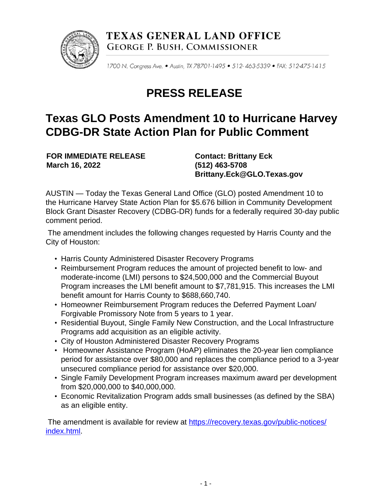

TEXAS GENERAL LAND OFFICE **GEORGE P. BUSH, COMMISSIONER** 

1700 N. Congress Ave. . Austin, TX 78701-1495 . 512-463-5339 . FAX: 512-475-1415

## **PRESS RELEASE**

## **Texas GLO Posts Amendment 10 to Hurricane Harvey CDBG-DR State Action Plan for Public Comment**

**FOR IMMEDIATE RELEASE March 16, 2022**

**Contact: Brittany Eck (512) 463-5708 Brittany.Eck@GLO.Texas.gov**

AUSTIN — Today the Texas General Land Office (GLO) posted Amendment 10 to the Hurricane Harvey State Action Plan for \$5.676 billion in Community Development Block Grant Disaster Recovery (CDBG-DR) funds for a federally required 30-day public comment period.

The amendment includes the following changes requested by Harris County and the City of Houston:

- Harris County Administered Disaster Recovery Programs
- Reimbursement Program reduces the amount of projected benefit to low- and moderate-income (LMI) persons to \$24,500,000 and the Commercial Buyout Program increases the LMI benefit amount to \$7,781,915. This increases the LMI benefit amount for Harris County to \$688,660,740.
- Homeowner Reimbursement Program reduces the Deferred Payment Loan/ Forgivable Promissory Note from 5 years to 1 year.
- Residential Buyout, Single Family New Construction, and the Local Infrastructure Programs add acquisition as an eligible activity.
- City of Houston Administered Disaster Recovery Programs
- Homeowner Assistance Program (HoAP) eliminates the 20-year lien compliance period for assistance over \$80,000 and replaces the compliance period to a 3-year unsecured compliance period for assistance over \$20,000.
- Single Family Development Program increases maximum award per development from \$20,000,000 to \$40,000,000.
- Economic Revitalization Program adds small businesses (as defined by the SBA) as an eligible entity.

The amendment is available for review at [https://recovery.texas.gov/public-notices/](https://recovery.texas.gov/public-notices/index.html) [index.html.](https://recovery.texas.gov/public-notices/index.html)